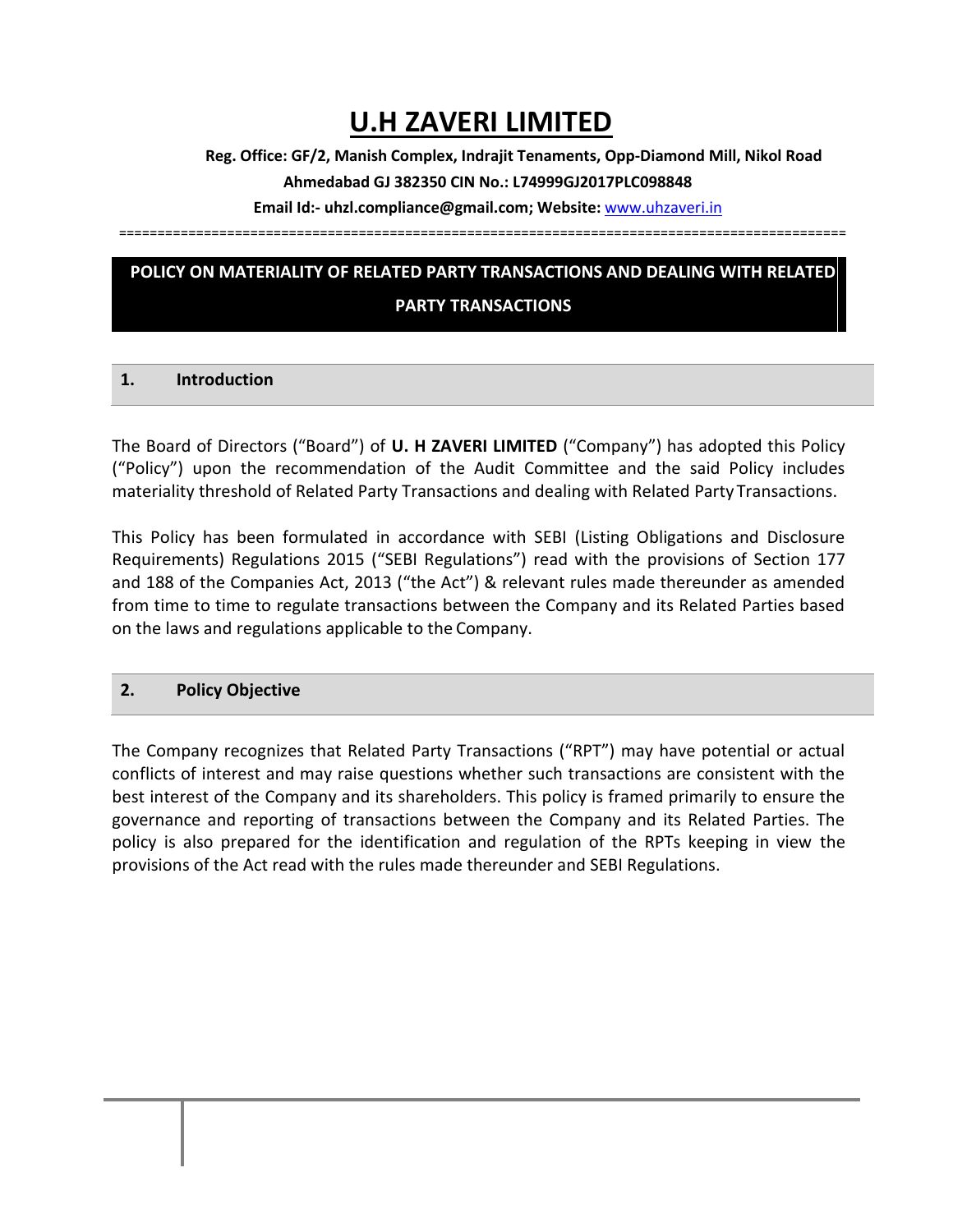# **U.H ZAVERI LIMITED**

**Reg. Office: GF/2, Manish Complex, Indrajit Tenaments, Opp-Diamond Mill, Nikol Road** 

**Ahmedabad GJ 382350 CIN No.: L74999GJ2017PLC098848**

**Email Id:- uhzl.compliance@gmail.com; Website:** [www.uhzaveri.i](http://www.uhzaveri./)n

==============================================================================================

# **POLICY ON MATERIALITY OF RELATED PARTY TRANSACTIONS AND DEALING WITH RELATED**

#### **PARTY TRANSACTIONS**

## **1. Introduction**

The Board of Directors ("Board") of **U. H ZAVERI LIMITED** ("Company") has adopted this Policy ("Policy") upon the recommendation of the Audit Committee and the said Policy includes materiality threshold of Related Party Transactions and dealing with Related Party Transactions.

This Policy has been formulated in accordance with SEBI (Listing Obligations and Disclosure Requirements) Regulations 2015 ("SEBI Regulations") read with the provisions of Section 177 and 188 of the Companies Act, 2013 ("the Act") & relevant rules made thereunder as amended from time to time to regulate transactions between the Company and its Related Parties based on the laws and regulations applicable to the Company.

## **2. Policy Objective**

The Company recognizes that Related Party Transactions ("RPT") may have potential or actual conflicts of interest and may raise questions whether such transactions are consistent with the best interest of the Company and its shareholders. This policy is framed primarily to ensure the governance and reporting of transactions between the Company and its Related Parties. The policy is also prepared for the identification and regulation of the RPTs keeping in view the provisions of the Act read with the rules made thereunder and SEBI Regulations.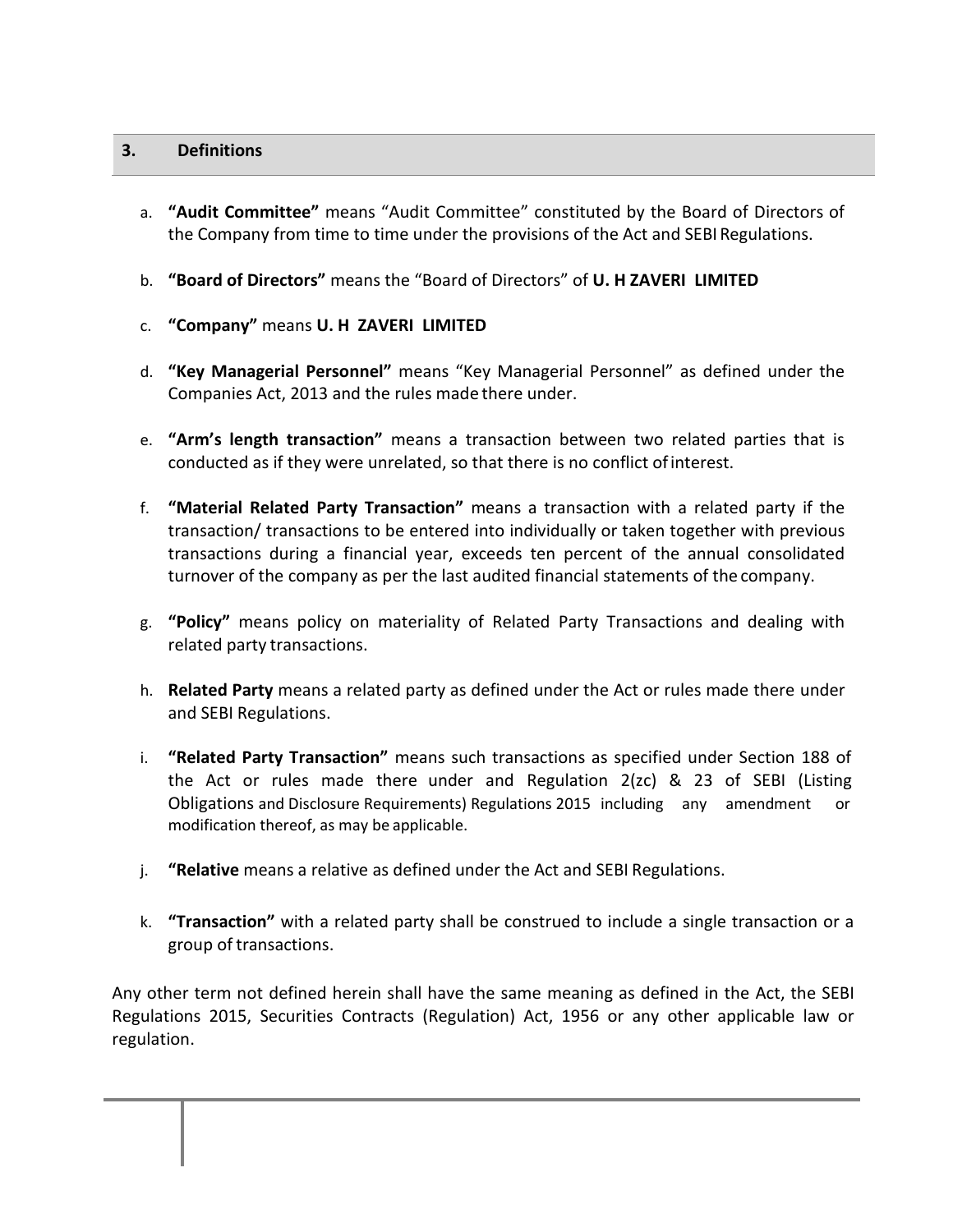## **3. Definitions**

- a. **"Audit Committee"** means "Audit Committee" constituted by the Board of Directors of the Company from time to time under the provisions of the Act and SEBI Regulations.
- b. **"Board of Directors"** means the "Board of Directors" of **U. H ZAVERI LIMITED**
- c. **"Company"** means **U. H ZAVERI LIMITED**
- d. **"Key Managerial Personnel"** means "Key Managerial Personnel" as defined under the Companies Act, 2013 and the rules made there under.
- e. **"Arm's length transaction"** means a transaction between two related parties that is conducted as if they were unrelated, so that there is no conflict ofinterest.
- f. **"Material Related Party Transaction"** means a transaction with a related party if the transaction/ transactions to be entered into individually or taken together with previous transactions during a financial year, exceeds ten percent of the annual consolidated turnover of the company as per the last audited financial statements of the company.
- g. **"Policy"** means policy on materiality of Related Party Transactions and dealing with related party transactions.
- h. **Related Party** means a related party as defined under the Act or rules made there under and SEBI Regulations.
- i. **"Related Party Transaction"** means such transactions as specified under Section 188 of the Act or rules made there under and Regulation 2(zc) & 23 of SEBI (Listing Obligations and Disclosure Requirements) Regulations 2015 including any amendment or modification thereof, as may be applicable.
- j. **"Relative** means a relative as defined under the Act and SEBI Regulations.
- k. **"Transaction"** with a related party shall be construed to include a single transaction or a group of transactions.

Any other term not defined herein shall have the same meaning as defined in the Act, the SEBI Regulations 2015, Securities Contracts (Regulation) Act, 1956 or any other applicable law or regulation.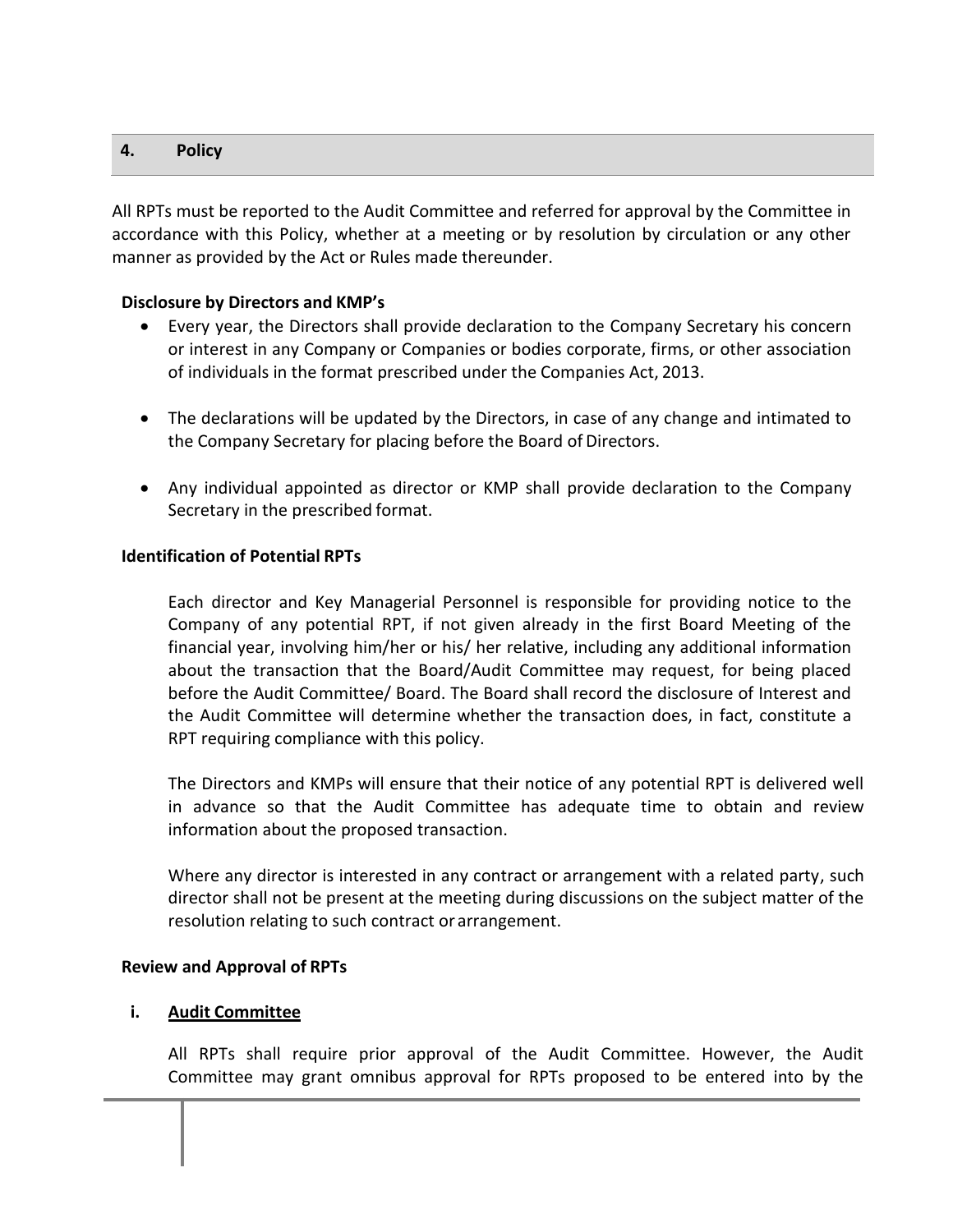## **4. Policy**

All RPTs must be reported to the Audit Committee and referred for approval by the Committee in accordance with this Policy, whether at a meeting or by resolution by circulation or any other manner as provided by the Act or Rules made thereunder.

## **Disclosure by Directors and KMP's**

- Every year, the Directors shall provide declaration to the Company Secretary his concern or interest in any Company or Companies or bodies corporate, firms, or other association of individuals in the format prescribed under the Companies Act, 2013.
- The declarations will be updated by the Directors, in case of any change and intimated to the Company Secretary for placing before the Board of Directors.
- Any individual appointed as director or KMP shall provide declaration to the Company Secretary in the prescribed format.

## **Identification of Potential RPTs**

Each director and Key Managerial Personnel is responsible for providing notice to the Company of any potential RPT, if not given already in the first Board Meeting of the financial year, involving him/her or his/ her relative, including any additional information about the transaction that the Board/Audit Committee may request, for being placed before the Audit Committee/ Board. The Board shall record the disclosure of Interest and the Audit Committee will determine whether the transaction does, in fact, constitute a RPT requiring compliance with this policy.

The Directors and KMPs will ensure that their notice of any potential RPT is delivered well in advance so that the Audit Committee has adequate time to obtain and review information about the proposed transaction.

Where any director is interested in any contract or arrangement with a related party, such director shall not be present at the meeting during discussions on the subject matter of the resolution relating to such contract or arrangement.

#### **Review and Approval of RPTs**

#### **i. Audit Committee**

All RPTs shall require prior approval of the Audit Committee. However, the Audit Committee may grant omnibus approval for RPTs proposed to be entered into by the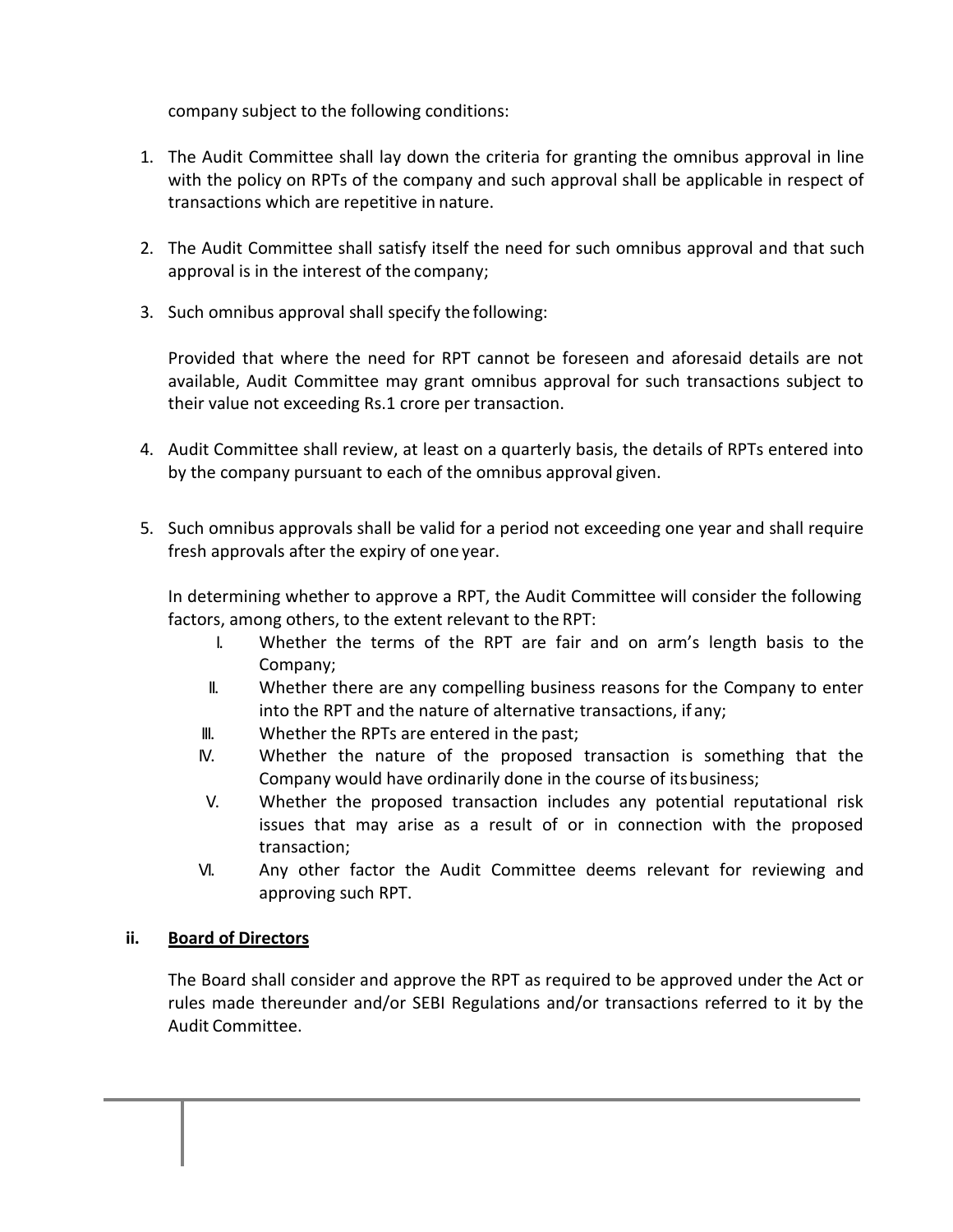company subject to the following conditions:

- 1. The Audit Committee shall lay down the criteria for granting the omnibus approval in line with the policy on RPTs of the company and such approval shall be applicable in respect of transactions which are repetitive in nature.
- 2. The Audit Committee shall satisfy itself the need for such omnibus approval and that such approval is in the interest of the company;
- 3. Such omnibus approval shall specify the following:

Provided that where the need for RPT cannot be foreseen and aforesaid details are not available, Audit Committee may grant omnibus approval for such transactions subject to their value not exceeding Rs.1 crore per transaction.

- 4. Audit Committee shall review, at least on a quarterly basis, the details of RPTs entered into by the company pursuant to each of the omnibus approval given.
- 5. Such omnibus approvals shall be valid for a period not exceeding one year and shall require fresh approvals after the expiry of one year.

In determining whether to approve a RPT, the Audit Committee will consider the following factors, among others, to the extent relevant to the RPT:

- I. Whether the terms of the RPT are fair and on arm's length basis to the Company;
- II. Whether there are any compelling business reasons for the Company to enter into the RPT and the nature of alternative transactions, if any;
- III. Whether the RPTs are entered in the past;
- IV. Whether the nature of the proposed transaction is something that the Company would have ordinarily done in the course of itsbusiness;
- V. Whether the proposed transaction includes any potential reputational risk issues that may arise as a result of or in connection with the proposed transaction;
- VI. Any other factor the Audit Committee deems relevant for reviewing and approving such RPT.

#### **ii. Board of Directors**

The Board shall consider and approve the RPT as required to be approved under the Act or rules made thereunder and/or SEBI Regulations and/or transactions referred to it by the Audit Committee.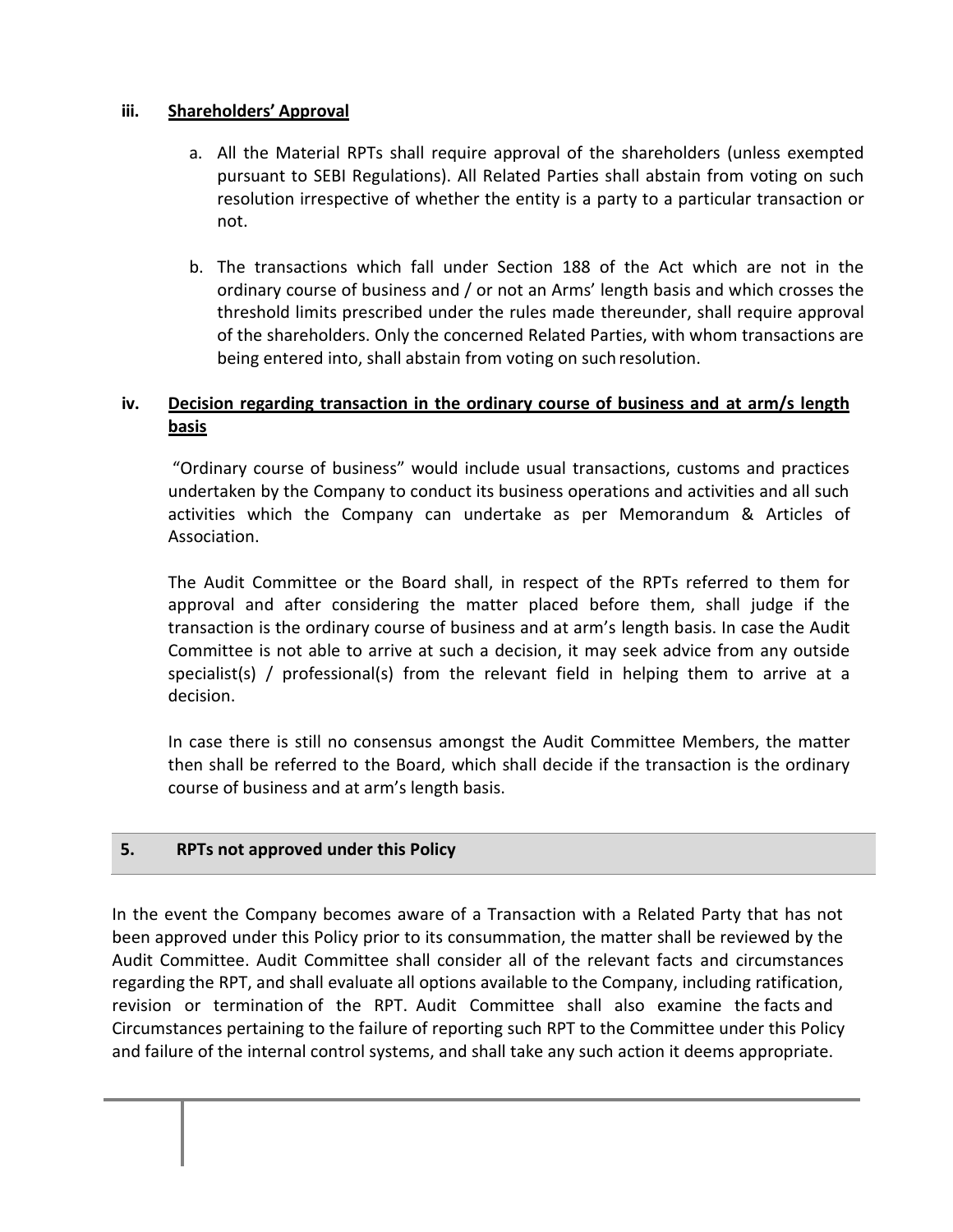## **iii. Shareholders' Approval**

- a. All the Material RPTs shall require approval of the shareholders (unless exempted pursuant to SEBI Regulations). All Related Parties shall abstain from voting on such resolution irrespective of whether the entity is a party to a particular transaction or not.
- b. The transactions which fall under Section 188 of the Act which are not in the ordinary course of business and / or not an Arms' length basis and which crosses the threshold limits prescribed under the rules made thereunder, shall require approval of the shareholders. Only the concerned Related Parties, with whom transactions are being entered into, shall abstain from voting on suchresolution.

## **iv. Decision regarding transaction in the ordinary course of business and at arm/s length basis**

"Ordinary course of business" would include usual transactions, customs and practices undertaken by the Company to conduct its business operations and activities and all such activities which the Company can undertake as per Memorandum & Articles of Association.

The Audit Committee or the Board shall, in respect of the RPTs referred to them for approval and after considering the matter placed before them, shall judge if the transaction is the ordinary course of business and at arm's length basis. In case the Audit Committee is not able to arrive at such a decision, it may seek advice from any outside specialist(s) / professional(s) from the relevant field in helping them to arrive at a decision.

In case there is still no consensus amongst the Audit Committee Members, the matter then shall be referred to the Board, which shall decide if the transaction is the ordinary course of business and at arm's length basis.

#### **5. RPTs not approved under this Policy**

In the event the Company becomes aware of a Transaction with a Related Party that has not been approved under this Policy prior to its consummation, the matter shall be reviewed by the Audit Committee. Audit Committee shall consider all of the relevant facts and circumstances regarding the RPT, and shall evaluate all options available to the Company, including ratification, revision or termination of the RPT. Audit Committee shall also examine the facts and Circumstances pertaining to the failure of reporting such RPT to the Committee under this Policy and failure of the internal control systems, and shall take any such action it deems appropriate.